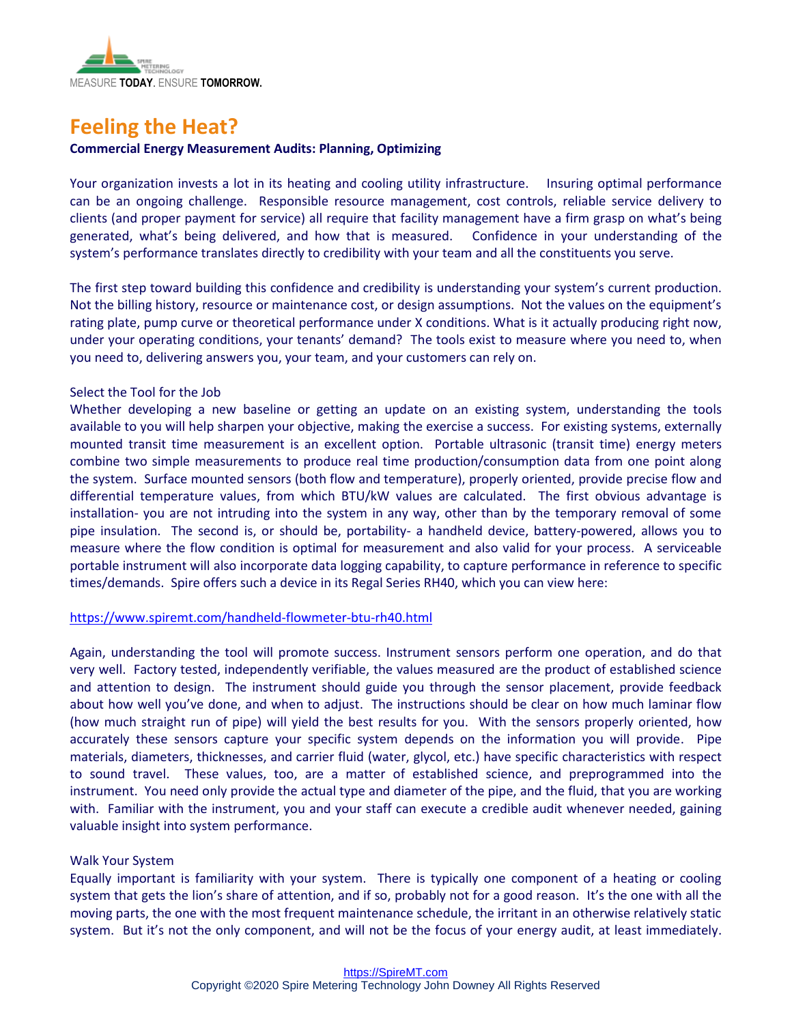

# **Feeling the Heat?**

## **Commercial Energy Measurement Audits: Planning, Optimizing**

Your organization invests a lot in its heating and cooling utility infrastructure. Insuring optimal performance can be an ongoing challenge. Responsible resource management, cost controls, reliable service delivery to clients (and proper payment for service) all require that facility management have a firm grasp on what's being generated, what's being delivered, and how that is measured. Confidence in your understanding of the system's performance translates directly to credibility with your team and all the constituents you serve.

The first step toward building this confidence and credibility is understanding your system's current production. Not the billing history, resource or maintenance cost, or design assumptions. Not the values on the equipment's rating plate, pump curve or theoretical performance under X conditions. What is it actually producing right now, under your operating conditions, your tenants' demand? The tools exist to measure where you need to, when you need to, delivering answers you, your team, and your customers can rely on.

## Select the Tool for the Job

Whether developing a new baseline or getting an update on an existing system, understanding the tools available to you will help sharpen your objective, making the exercise a success. For existing systems, externally mounted transit time measurement is an excellent option. Portable ultrasonic (transit time) energy meters combine two simple measurements to produce real time production/consumption data from one point along the system. Surface mounted sensors (both flow and temperature), properly oriented, provide precise flow and differential temperature values, from which BTU/kW values are calculated. The first obvious advantage is installation- you are not intruding into the system in any way, other than by the temporary removal of some pipe insulation. The second is, or should be, portability- a handheld device, battery-powered, allows you to measure where the flow condition is optimal for measurement and also valid for your process. A serviceable portable instrument will also incorporate data logging capability, to capture performance in reference to specific times/demands. Spire offers such a device in its Regal Series RH40, which you can view here:

#### <https://www.spiremt.com/handheld-flowmeter-btu-rh40.html>

Again, understanding the tool will promote success. Instrument sensors perform one operation, and do that very well. Factory tested, independently verifiable, the values measured are the product of established science and attention to design. The instrument should guide you through the sensor placement, provide feedback about how well you've done, and when to adjust. The instructions should be clear on how much laminar flow (how much straight run of pipe) will yield the best results for you. With the sensors properly oriented, how accurately these sensors capture your specific system depends on the information you will provide. Pipe materials, diameters, thicknesses, and carrier fluid (water, glycol, etc.) have specific characteristics with respect to sound travel. These values, too, are a matter of established science, and preprogrammed into the instrument. You need only provide the actual type and diameter of the pipe, and the fluid, that you are working with. Familiar with the instrument, you and your staff can execute a credible audit whenever needed, gaining valuable insight into system performance.

#### Walk Your System

Equally important is familiarity with your system. There is typically one component of a heating or cooling system that gets the lion's share of attention, and if so, probably not for a good reason. It's the one with all the moving parts, the one with the most frequent maintenance schedule, the irritant in an otherwise relatively static system. But it's not the only component, and will not be the focus of your energy audit, at least immediately.